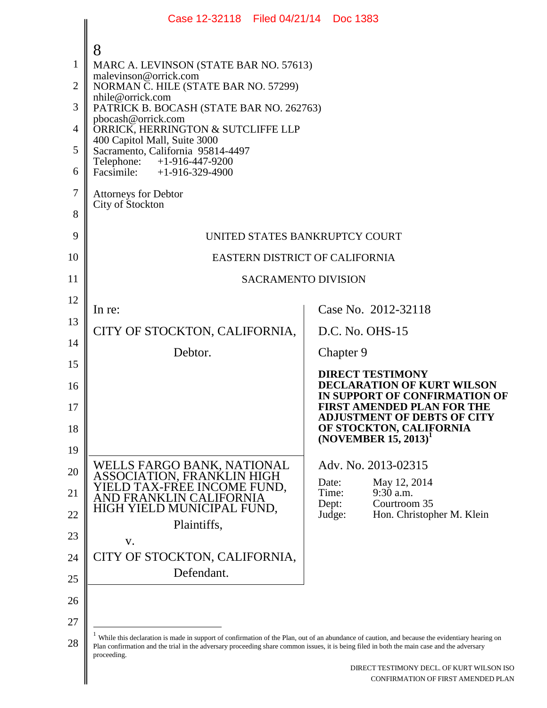|                | Case 12-32118 Filed 04/21/14 Doc 1383                                                                                                                                                                                                                                                                      |                                                                                               |
|----------------|------------------------------------------------------------------------------------------------------------------------------------------------------------------------------------------------------------------------------------------------------------------------------------------------------------|-----------------------------------------------------------------------------------------------|
|                | 8                                                                                                                                                                                                                                                                                                          |                                                                                               |
| 1              | MARC A. LEVINSON (STATE BAR NO. 57613)                                                                                                                                                                                                                                                                     |                                                                                               |
| 2              | malevinson@orrick.com<br>NORMAN C. HILE (STATE BAR NO. 57299)                                                                                                                                                                                                                                              |                                                                                               |
| 3              | nhile@orrick.com<br>PATRICK B. BOCASH (STATE BAR NO. 262763)                                                                                                                                                                                                                                               |                                                                                               |
| $\overline{4}$ | pbocash@orrick.com<br>ORRICK, HERRINGTON & SUTCLIFFE LLP                                                                                                                                                                                                                                                   |                                                                                               |
| 5              | 400 Capitol Mall, Suite 3000<br>Sacramento, California 95814-4497                                                                                                                                                                                                                                          |                                                                                               |
| 6              | Telephone: +1-916-447-9200<br>Facsimile: +1-916-329-4900                                                                                                                                                                                                                                                   |                                                                                               |
| 7              | <b>Attorneys for Debtor</b>                                                                                                                                                                                                                                                                                |                                                                                               |
| 8              | City of Stockton                                                                                                                                                                                                                                                                                           |                                                                                               |
| 9              | UNITED STATES BANKRUPTCY COURT                                                                                                                                                                                                                                                                             |                                                                                               |
| 10             | EASTERN DISTRICT OF CALIFORNIA                                                                                                                                                                                                                                                                             |                                                                                               |
| 11             | <b>SACRAMENTO DIVISION</b>                                                                                                                                                                                                                                                                                 |                                                                                               |
| 12             |                                                                                                                                                                                                                                                                                                            |                                                                                               |
| 13             | In re:                                                                                                                                                                                                                                                                                                     | Case No. 2012-32118                                                                           |
| 14             | CITY OF STOCKTON, CALIFORNIA,                                                                                                                                                                                                                                                                              | D.C. No. OHS-15                                                                               |
| 15             | Debtor.                                                                                                                                                                                                                                                                                                    | Chapter 9                                                                                     |
| 16             |                                                                                                                                                                                                                                                                                                            | <b>DIRECT TESTIMONY</b><br><b>DECLARATION OF KURT WILSON</b><br>IN SUPPORT OF CONFIRMATION OF |
| 17             |                                                                                                                                                                                                                                                                                                            | <b>FIRST AMENDED PLAN FOR THE</b><br><b>ADJUSTMENT OF DEBTS OF CITY</b>                       |
| 18<br>19       |                                                                                                                                                                                                                                                                                                            | OF STOCKTON, CALIFORNIA<br>$(NOVEMBER 15, 2013)^T$                                            |
| 20             | WELLS FARGO BANK, NATIONAL                                                                                                                                                                                                                                                                                 | Adv. No. 2013-02315                                                                           |
| 21             | ASSOCIATION, FRANKLIN HIGH<br>YIELD TAX-FREE INCOME FUND,<br>AND FRANKLIN CALIFORNIA                                                                                                                                                                                                                       | Date:<br>May 12, 2014<br>9:30 a.m.<br>Time:                                                   |
| 22             | HIGH YIELD MUNICIPAL FUND,                                                                                                                                                                                                                                                                                 | Courtroom 35<br>Dept:<br>Judge:<br>Hon. Christopher M. Klein                                  |
| 23             | Plaintiffs,                                                                                                                                                                                                                                                                                                |                                                                                               |
| 24             | V.<br>CITY OF STOCKTON, CALIFORNIA,                                                                                                                                                                                                                                                                        |                                                                                               |
| 25             | Defendant.                                                                                                                                                                                                                                                                                                 |                                                                                               |
| 26             |                                                                                                                                                                                                                                                                                                            |                                                                                               |
| 27             |                                                                                                                                                                                                                                                                                                            |                                                                                               |
| 28             | While this declaration is made in support of confirmation of the Plan, out of an abundance of caution, and because the evidentiary hearing on<br>Plan confirmation and the trial in the adversary proceeding share common issues, it is being filed in both the main case and the adversary<br>proceeding. |                                                                                               |

 $\blacksquare$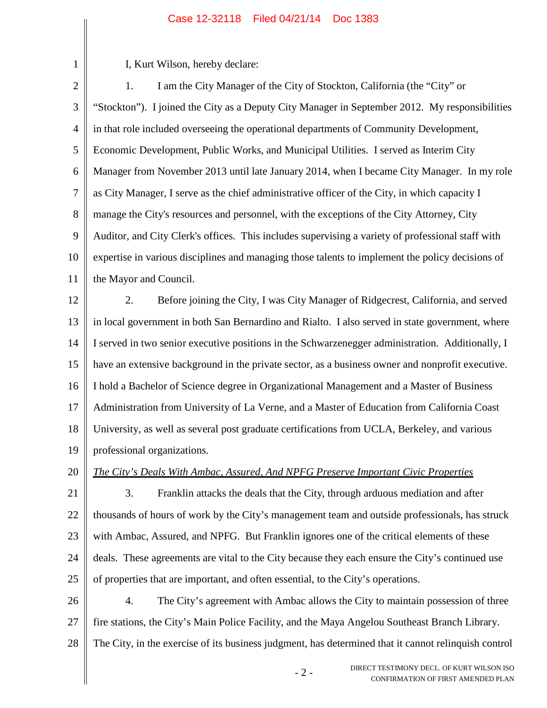I, Kurt Wilson, hereby declare:

1

- 2 - DIRECT TESTIMONY DECL. OF KURT WILSON ISO 2 3 4 5 6 7 8 9 10 11 12 13 14 15 16 17 18 19 20 21 22 23 24 25 26 27 28 1. I am the City Manager of the City of Stockton, California (the "City" or "Stockton"). I joined the City as a Deputy City Manager in September 2012. My responsibilities in that role included overseeing the operational departments of Community Development, Economic Development, Public Works, and Municipal Utilities. I served as Interim City Manager from November 2013 until late January 2014, when I became City Manager. In my role as City Manager, I serve as the chief administrative officer of the City, in which capacity I manage the City's resources and personnel, with the exceptions of the City Attorney, City Auditor, and City Clerk's offices. This includes supervising a variety of professional staff with expertise in various disciplines and managing those talents to implement the policy decisions of the Mayor and Council. 2. Before joining the City, I was City Manager of Ridgecrest, California, and served in local government in both San Bernardino and Rialto. I also served in state government, where I served in two senior executive positions in the Schwarzenegger administration. Additionally, I have an extensive background in the private sector, as a business owner and nonprofit executive. I hold a Bachelor of Science degree in Organizational Management and a Master of Business Administration from University of La Verne, and a Master of Education from California Coast University, as well as several post graduate certifications from UCLA, Berkeley, and various professional organizations. *The City's Deals With Ambac, Assured, And NPFG Preserve Important Civic Properties* 3. Franklin attacks the deals that the City, through arduous mediation and after thousands of hours of work by the City's management team and outside professionals, has struck with Ambac, Assured, and NPFG. But Franklin ignores one of the critical elements of these deals. These agreements are vital to the City because they each ensure the City's continued use of properties that are important, and often essential, to the City's operations. 4. The City's agreement with Ambac allows the City to maintain possession of three fire stations, the City's Main Police Facility, and the Maya Angelou Southeast Branch Library. The City, in the exercise of its business judgment, has determined that it cannot relinquish control

CONFIRMATION OF FIRST AMENDED PLAN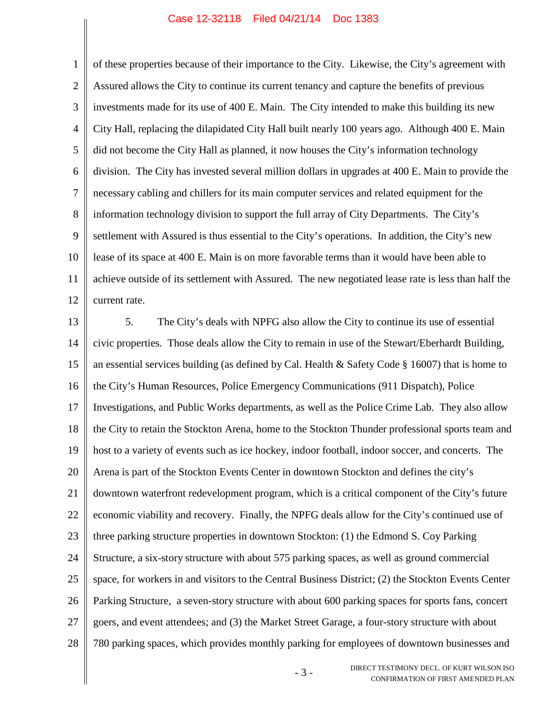1 2 3 4 5 6 7 8 9 10 11 12 of these properties because of their importance to the City. Likewise, the City's agreement with Assured allows the City to continue its current tenancy and capture the benefits of previous investments made for its use of 400 E. Main. The City intended to make this building its new City Hall, replacing the dilapidated City Hall built nearly 100 years ago. Although 400 E. Main did not become the City Hall as planned, it now houses the City's information technology division. The City has invested several million dollars in upgrades at 400 E. Main to provide the necessary cabling and chillers for its main computer services and related equipment for the information technology division to support the full array of City Departments. The City's settlement with Assured is thus essential to the City's operations. In addition, the City's new lease of its space at 400 E. Main is on more favorable terms than it would have been able to achieve outside of its settlement with Assured. The new negotiated lease rate is less than half the current rate.

13 14 15 16 17 18 19 20 21 22 23 24 25 26 27 28 5. The City's deals with NPFG also allow the City to continue its use of essential civic properties. Those deals allow the City to remain in use of the Stewart/Eberhardt Building, an essential services building (as defined by Cal. Health & Safety Code § 16007) that is home to the City's Human Resources, Police Emergency Communications (911 Dispatch), Police Investigations, and Public Works departments, as well as the Police Crime Lab. They also allow the City to retain the Stockton Arena, home to the Stockton Thunder professional sports team and host to a variety of events such as ice hockey, indoor football, indoor soccer, and concerts. The Arena is part of the Stockton Events Center in downtown Stockton and defines the city's downtown waterfront redevelopment program, which is a critical component of the City's future economic viability and recovery. Finally, the NPFG deals allow for the City's continued use of three parking structure properties in downtown Stockton: (1) the Edmond S. Coy Parking Structure, a six-story structure with about 575 parking spaces, as well as ground commercial space, for workers in and visitors to the Central Business District; (2) the Stockton Events Center Parking Structure, a seven-story structure with about 600 parking spaces for sports fans, concert goers, and event attendees; and (3) the Market Street Garage, a four-story structure with about 780 parking spaces, which provides monthly parking for employees of downtown businesses and

> - 3 - DIRECT TESTIMONY DECL. OF KURT WILSON ISO CONFIRMATION OF FIRST AMENDED PLAN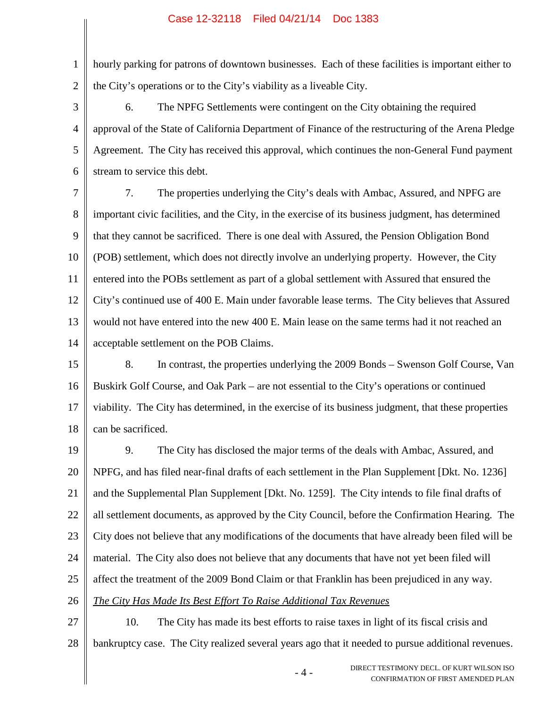1 2 hourly parking for patrons of downtown businesses. Each of these facilities is important either to the City's operations or to the City's viability as a liveable City.

3 4 5 6 6. The NPFG Settlements were contingent on the City obtaining the required approval of the State of California Department of Finance of the restructuring of the Arena Pledge Agreement. The City has received this approval, which continues the non-General Fund payment stream to service this debt.

7 8 9 10 11 12 13 14 7. The properties underlying the City's deals with Ambac, Assured, and NPFG are important civic facilities, and the City, in the exercise of its business judgment, has determined that they cannot be sacrificed. There is one deal with Assured, the Pension Obligation Bond (POB) settlement, which does not directly involve an underlying property. However, the City entered into the POBs settlement as part of a global settlement with Assured that ensured the City's continued use of 400 E. Main under favorable lease terms. The City believes that Assured would not have entered into the new 400 E. Main lease on the same terms had it not reached an acceptable settlement on the POB Claims.

15 16 17 18 8. In contrast, the properties underlying the 2009 Bonds – Swenson Golf Course, Van Buskirk Golf Course, and Oak Park – are not essential to the City's operations or continued viability. The City has determined, in the exercise of its business judgment, that these properties can be sacrificed.

19 20 21 22 23 24 25 26 9. The City has disclosed the major terms of the deals with Ambac, Assured, and NPFG, and has filed near-final drafts of each settlement in the Plan Supplement [Dkt. No. 1236] and the Supplemental Plan Supplement [Dkt. No. 1259]. The City intends to file final drafts of all settlement documents, as approved by the City Council, before the Confirmation Hearing. The City does not believe that any modifications of the documents that have already been filed will be material. The City also does not believe that any documents that have not yet been filed will affect the treatment of the 2009 Bond Claim or that Franklin has been prejudiced in any way. *The City Has Made Its Best Effort To Raise Additional Tax Revenues*

27 28 10. The City has made its best efforts to raise taxes in light of its fiscal crisis and bankruptcy case. The City realized several years ago that it needed to pursue additional revenues.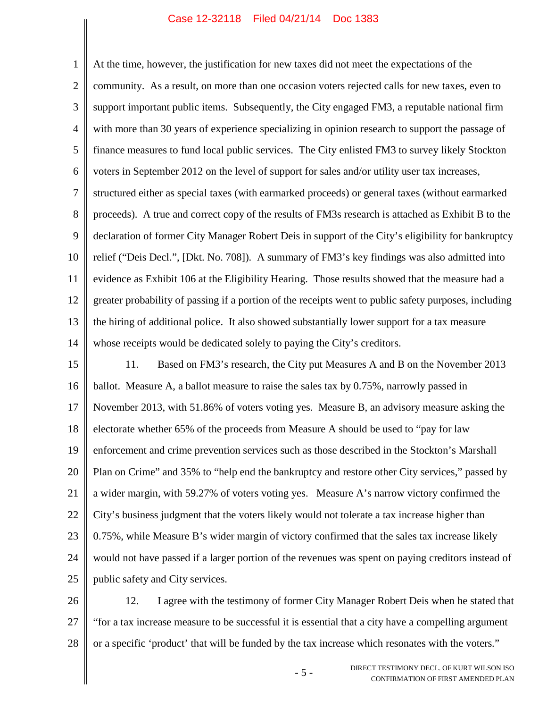1 2 3 4 5 6 7 8 9 10 11 12 13 14 At the time, however, the justification for new taxes did not meet the expectations of the community. As a result, on more than one occasion voters rejected calls for new taxes, even to support important public items. Subsequently, the City engaged FM3, a reputable national firm with more than 30 years of experience specializing in opinion research to support the passage of finance measures to fund local public services. The City enlisted FM3 to survey likely Stockton voters in September 2012 on the level of support for sales and/or utility user tax increases, structured either as special taxes (with earmarked proceeds) or general taxes (without earmarked proceeds). A true and correct copy of the results of FM3s research is attached as Exhibit B to the declaration of former City Manager Robert Deis in support of the City's eligibility for bankruptcy relief ("Deis Decl.", [Dkt. No. 708]). A summary of FM3's key findings was also admitted into evidence as Exhibit 106 at the Eligibility Hearing. Those results showed that the measure had a greater probability of passing if a portion of the receipts went to public safety purposes, including the hiring of additional police. It also showed substantially lower support for a tax measure whose receipts would be dedicated solely to paying the City's creditors.

15 16 17 18 19 20 21 22 23 24 25 11. Based on FM3's research, the City put Measures A and B on the November 2013 ballot. Measure A, a ballot measure to raise the sales tax by 0.75%, narrowly passed in November 2013, with 51.86% of voters voting yes. Measure B, an advisory measure asking the electorate whether 65% of the proceeds from Measure A should be used to "pay for law enforcement and crime prevention services such as those described in the Stockton's Marshall Plan on Crime" and 35% to "help end the bankruptcy and restore other City services," passed by a wider margin, with 59.27% of voters voting yes. Measure A's narrow victory confirmed the City's business judgment that the voters likely would not tolerate a tax increase higher than 0.75%, while Measure B's wider margin of victory confirmed that the sales tax increase likely would not have passed if a larger portion of the revenues was spent on paying creditors instead of public safety and City services.

26 27 28 12. I agree with the testimony of former City Manager Robert Deis when he stated that "for a tax increase measure to be successful it is essential that a city have a compelling argument or a specific 'product' that will be funded by the tax increase which resonates with the voters."

> - 5 - DIRECT TESTIMONY DECL. OF KURT WILSON ISO CONFIRMATION OF FIRST AMENDED PLAN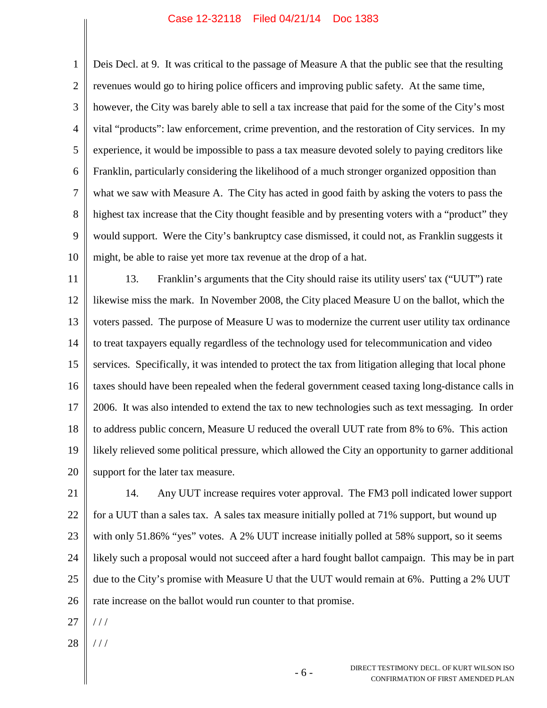1 2 3 4 5 6 7 8 9 10 Deis Decl. at 9. It was critical to the passage of Measure A that the public see that the resulting revenues would go to hiring police officers and improving public safety. At the same time, however, the City was barely able to sell a tax increase that paid for the some of the City's most vital "products": law enforcement, crime prevention, and the restoration of City services. In my experience, it would be impossible to pass a tax measure devoted solely to paying creditors like Franklin, particularly considering the likelihood of a much stronger organized opposition than what we saw with Measure A. The City has acted in good faith by asking the voters to pass the highest tax increase that the City thought feasible and by presenting voters with a "product" they would support. Were the City's bankruptcy case dismissed, it could not, as Franklin suggests it might, be able to raise yet more tax revenue at the drop of a hat.

11 12 13 14 15 16 17 18 19 20 13. Franklin's arguments that the City should raise its utility users' tax ("UUT") rate likewise miss the mark. In November 2008, the City placed Measure U on the ballot, which the voters passed. The purpose of Measure U was to modernize the current user utility tax ordinance to treat taxpayers equally regardless of the technology used for telecommunication and video services. Specifically, it was intended to protect the tax from litigation alleging that local phone taxes should have been repealed when the federal government ceased taxing long-distance calls in 2006. It was also intended to extend the tax to new technologies such as text messaging. In order to address public concern, Measure U reduced the overall UUT rate from 8% to 6%. This action likely relieved some political pressure, which allowed the City an opportunity to garner additional support for the later tax measure.

21 22 23 24 25 26 14. Any UUT increase requires voter approval. The FM3 poll indicated lower support for a UUT than a sales tax. A sales tax measure initially polled at 71% support, but wound up with only 51.86% "yes" votes. A 2% UUT increase initially polled at 58% support, so it seems likely such a proposal would not succeed after a hard fought ballot campaign. This may be in part due to the City's promise with Measure U that the UUT would remain at 6%. Putting a 2% UUT rate increase on the ballot would run counter to that promise.

27 / / /

28 / / /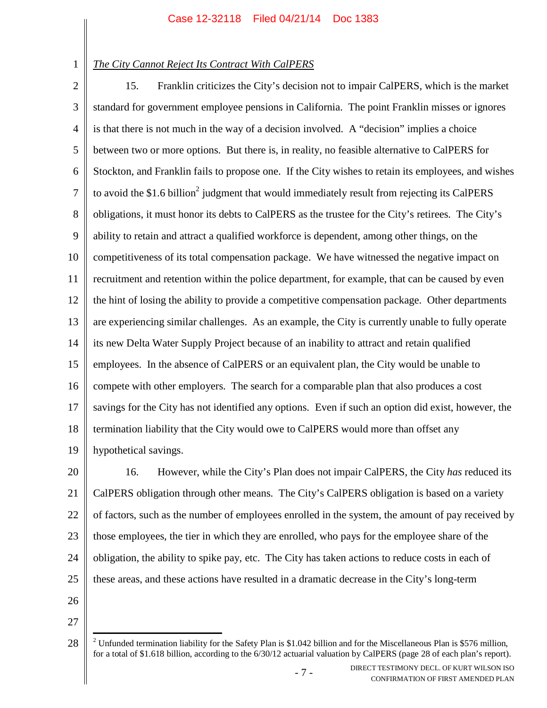1

# *The City Cannot Reject Its Contract With CalPERS*

2 3 4 5 6 7 8 9 10 11 12 13 14 15 16 17 18 19 15. Franklin criticizes the City's decision not to impair CalPERS, which is the market standard for government employee pensions in California. The point Franklin misses or ignores is that there is not much in the way of a decision involved. A "decision" implies a choice between two or more options. But there is, in reality, no feasible alternative to CalPERS for Stockton, and Franklin fails to propose one. If the City wishes to retain its employees, and wishes to avoid the \$1.6 billion<sup>2</sup> judgment that would immediately result from rejecting its CalPERS obligations, it must honor its debts to CalPERS as the trustee for the City's retirees. The City's ability to retain and attract a qualified workforce is dependent, among other things, on the competitiveness of its total compensation package. We have witnessed the negative impact on recruitment and retention within the police department, for example, that can be caused by even the hint of losing the ability to provide a competitive compensation package. Other departments are experiencing similar challenges. As an example, the City is currently unable to fully operate its new Delta Water Supply Project because of an inability to attract and retain qualified employees. In the absence of CalPERS or an equivalent plan, the City would be unable to compete with other employers. The search for a comparable plan that also produces a cost savings for the City has not identified any options. Even if such an option did exist, however, the termination liability that the City would owe to CalPERS would more than offset any hypothetical savings.

20 21 22 23 24 25 16. However, while the City's Plan does not impair CalPERS, the City *has* reduced its CalPERS obligation through other means. The City's CalPERS obligation is based on a variety of factors, such as the number of employees enrolled in the system, the amount of pay received by those employees, the tier in which they are enrolled, who pays for the employee share of the obligation, the ability to spike pay, etc. The City has taken actions to reduce costs in each of these areas, and these actions have resulted in a dramatic decrease in the City's long-term

- 26
- 27

<sup>28</sup> <sup>2</sup> Unfunded termination liability for the Safety Plan is \$1.042 billion and for the Miscellaneous Plan is \$576 million, for a total of \$1.618 billion, according to the 6/30/12 actuarial valuation by CalPERS (page 28 of each plan's report).